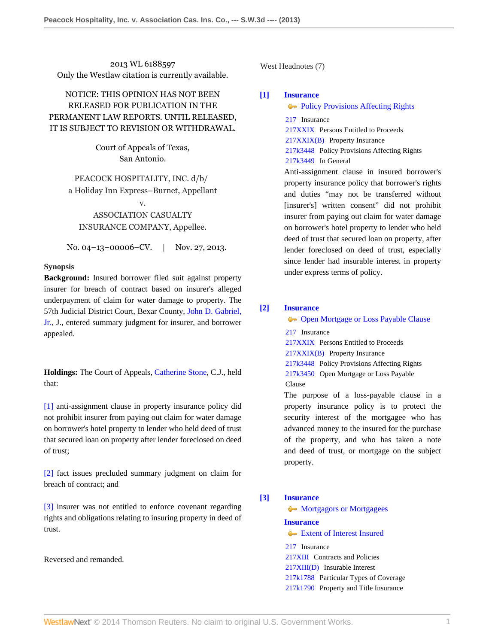2013 WL 6188597 Only the Westlaw citation is currently available.

# NOTICE: THIS OPINION HAS NOT BEEN RELEASED FOR PUBLICATION IN THE PERMANENT LAW REPORTS. UNTIL RELEASED, IT IS SUBJECT TO REVISION OR WITHDRAWAL.

Court of Appeals of Texas, San Antonio.

PEACOCK HOSPITALITY, INC. d/b/ a Holiday Inn Express–Burnet, Appellant v.

# ASSOCIATION CASUALTY INSURANCE COMPANY, Appellee.

No. 04–13–00006–CV. | Nov. 27, 2013.

# **Synopsis**

**Background:** Insured borrower filed suit against property insurer for breach of contract based on insurer's alleged underpayment of claim for water damage to property. The 57th Judicial District Court, Bexar County, [John D. Gabriel,](http://www.westlaw.com/Link/Document/FullText?findType=h&pubNum=176284&cite=0153201601&originatingDoc=I24b2a87957f111e3b48bea39e86d4142&refType=RQ&originationContext=document&vr=3.0&rs=cblt1.0&transitionType=DocumentItem&contextData=(sc.Search)) [Jr.,](http://www.westlaw.com/Link/Document/FullText?findType=h&pubNum=176284&cite=0153201601&originatingDoc=I24b2a87957f111e3b48bea39e86d4142&refType=RQ&originationContext=document&vr=3.0&rs=cblt1.0&transitionType=DocumentItem&contextData=(sc.Search)) J., entered summary judgment for insurer, and borrower appealed.

**Holdings:** The Court of Appeals, [Catherine Stone](http://www.westlaw.com/Link/Document/FullText?findType=h&pubNum=176284&cite=0224844201&originatingDoc=I24b2a87957f111e3b48bea39e86d4142&refType=RQ&originationContext=document&vr=3.0&rs=cblt1.0&transitionType=DocumentItem&contextData=(sc.Search)), C.J., held that:

[\[1\]](#page-0-0) anti-assignment clause in property insurance policy did not prohibit insurer from paying out claim for water damage on borrower's hotel property to lender who held deed of trust that secured loan on property after lender foreclosed on deed of trust;

[\[2\]](#page-1-0) fact issues precluded summary judgment on claim for breach of contract; and

[\[3\]](#page-1-1) insurer was not entitled to enforce covenant regarding rights and obligations relating to insuring property in deed of trust.

Reversed and remanded.

West Headnotes (7)

# <span id="page-0-0"></span>**[\[1\]](#page-3-0) [Insurance](http://www.westlaw.com/Browse/Home/KeyNumber/217/View.html?docGuid=I24b2a87957f111e3b48bea39e86d4142&originationContext=document&vr=3.0&rs=cblt1.0&transitionType=DocumentItem&contextData=(sc.Search))**

[217](http://www.westlaw.com/Browse/Home/KeyNumber/217/View.html?docGuid=I24b2a87957f111e3b48bea39e86d4142&originationContext=document&vr=3.0&rs=cblt1.0&transitionType=DocumentItem&contextData=(sc.Search)) Insurance

[217XXIX](http://www.westlaw.com/Browse/Home/KeyNumber/217XXIX/View.html?docGuid=I24b2a87957f111e3b48bea39e86d4142&originationContext=document&vr=3.0&rs=cblt1.0&transitionType=DocumentItem&contextData=(sc.Search)) Persons Entitled to Proceeds

[217XXIX\(B\)](http://www.westlaw.com/Browse/Home/KeyNumber/217XXIX(B)/View.html?docGuid=I24b2a87957f111e3b48bea39e86d4142&originationContext=document&vr=3.0&rs=cblt1.0&transitionType=DocumentItem&contextData=(sc.Search)) Property Insurance

[217k3448](http://www.westlaw.com/Browse/Home/KeyNumber/217k3448/View.html?docGuid=I24b2a87957f111e3b48bea39e86d4142&originationContext=document&vr=3.0&rs=cblt1.0&transitionType=DocumentItem&contextData=(sc.Search)) Policy Provisions Affecting Rights

[217k3449](http://www.westlaw.com/Browse/Home/KeyNumber/217k3449/View.html?docGuid=I24b2a87957f111e3b48bea39e86d4142&originationContext=document&vr=3.0&rs=cblt1.0&transitionType=DocumentItem&contextData=(sc.Search)) In General

Anti-assignment clause in insured borrower's property insurance policy that borrower's rights and duties "may not be transferred without [insurer's] written consent" did not prohibit insurer from paying out claim for water damage on borrower's hotel property to lender who held deed of trust that secured loan on property, after lender foreclosed on deed of trust, especially since lender had insurable interest in property under express terms of policy.

# <span id="page-0-1"></span>**[\[2\]](#page-4-0) [Insurance](http://www.westlaw.com/Browse/Home/KeyNumber/217/View.html?docGuid=I24b2a87957f111e3b48bea39e86d4142&originationContext=document&vr=3.0&rs=cblt1.0&transitionType=DocumentItem&contextData=(sc.Search))**

### **Comen Mortgage or Loss Payable Clause**

[217](http://www.westlaw.com/Browse/Home/KeyNumber/217/View.html?docGuid=I24b2a87957f111e3b48bea39e86d4142&originationContext=document&vr=3.0&rs=cblt1.0&transitionType=DocumentItem&contextData=(sc.Search)) Insurance

[217XXIX](http://www.westlaw.com/Browse/Home/KeyNumber/217XXIX/View.html?docGuid=I24b2a87957f111e3b48bea39e86d4142&originationContext=document&vr=3.0&rs=cblt1.0&transitionType=DocumentItem&contextData=(sc.Search)) Persons Entitled to Proceeds

[217XXIX\(B\)](http://www.westlaw.com/Browse/Home/KeyNumber/217XXIX(B)/View.html?docGuid=I24b2a87957f111e3b48bea39e86d4142&originationContext=document&vr=3.0&rs=cblt1.0&transitionType=DocumentItem&contextData=(sc.Search)) Property Insurance

[217k3448](http://www.westlaw.com/Browse/Home/KeyNumber/217k3448/View.html?docGuid=I24b2a87957f111e3b48bea39e86d4142&originationContext=document&vr=3.0&rs=cblt1.0&transitionType=DocumentItem&contextData=(sc.Search)) Policy Provisions Affecting Rights

[217k3450](http://www.westlaw.com/Browse/Home/KeyNumber/217k3450/View.html?docGuid=I24b2a87957f111e3b48bea39e86d4142&originationContext=document&vr=3.0&rs=cblt1.0&transitionType=DocumentItem&contextData=(sc.Search)) Open Mortgage or Loss Payable

# Clause

The purpose of a loss-payable clause in a property insurance policy is to protect the security interest of the mortgagee who has advanced money to the insured for the purchase of the property, and who has taken a note and deed of trust, or mortgage on the subject property.

# <span id="page-0-2"></span>**[\[3\]](#page-4-1) [Insurance](http://www.westlaw.com/Browse/Home/KeyNumber/217/View.html?docGuid=I24b2a87957f111e3b48bea39e86d4142&originationContext=document&vr=3.0&rs=cblt1.0&transitionType=DocumentItem&contextData=(sc.Search))**

 $\leftarrow$  [Mortgagors or Mortgagees](http://www.westlaw.com/Browse/Home/KeyNumber/217k1790(7)/View.html?docGuid=I24b2a87957f111e3b48bea39e86d4142&originationContext=document&vr=3.0&rs=cblt1.0&transitionType=DocumentItem&contextData=(sc.Search))

**[Insurance](http://www.westlaw.com/Browse/Home/KeyNumber/217/View.html?docGuid=I24b2a87957f111e3b48bea39e86d4142&originationContext=document&vr=3.0&rs=cblt1.0&transitionType=DocumentItem&contextData=(sc.Search))**

**[Extent of Interest Insured](http://www.westlaw.com/Browse/Home/KeyNumber/217k2187/View.html?docGuid=I24b2a87957f111e3b48bea39e86d4142&originationContext=document&vr=3.0&rs=cblt1.0&transitionType=DocumentItem&contextData=(sc.Search))** 

- [217](http://www.westlaw.com/Browse/Home/KeyNumber/217/View.html?docGuid=I24b2a87957f111e3b48bea39e86d4142&originationContext=document&vr=3.0&rs=cblt1.0&transitionType=DocumentItem&contextData=(sc.Search)) Insurance
- [217XIII](http://www.westlaw.com/Browse/Home/KeyNumber/217XIII/View.html?docGuid=I24b2a87957f111e3b48bea39e86d4142&originationContext=document&vr=3.0&rs=cblt1.0&transitionType=DocumentItem&contextData=(sc.Search)) Contracts and Policies
- [217XIII\(D\)](http://www.westlaw.com/Browse/Home/KeyNumber/217XIII(D)/View.html?docGuid=I24b2a87957f111e3b48bea39e86d4142&originationContext=document&vr=3.0&rs=cblt1.0&transitionType=DocumentItem&contextData=(sc.Search)) Insurable Interest
- [217k1788](http://www.westlaw.com/Browse/Home/KeyNumber/217k1788/View.html?docGuid=I24b2a87957f111e3b48bea39e86d4142&originationContext=document&vr=3.0&rs=cblt1.0&transitionType=DocumentItem&contextData=(sc.Search)) Particular Types of Coverage
- [217k1790](http://www.westlaw.com/Browse/Home/KeyNumber/217k1790/View.html?docGuid=I24b2a87957f111e3b48bea39e86d4142&originationContext=document&vr=3.0&rs=cblt1.0&transitionType=DocumentItem&contextData=(sc.Search)) Property and Title Insurance

**[Policy Provisions Affecting Rights](http://www.westlaw.com/Browse/Home/KeyNumber/217k3448/View.html?docGuid=I24b2a87957f111e3b48bea39e86d4142&originationContext=document&vr=3.0&rs=cblt1.0&transitionType=DocumentItem&contextData=(sc.Search))**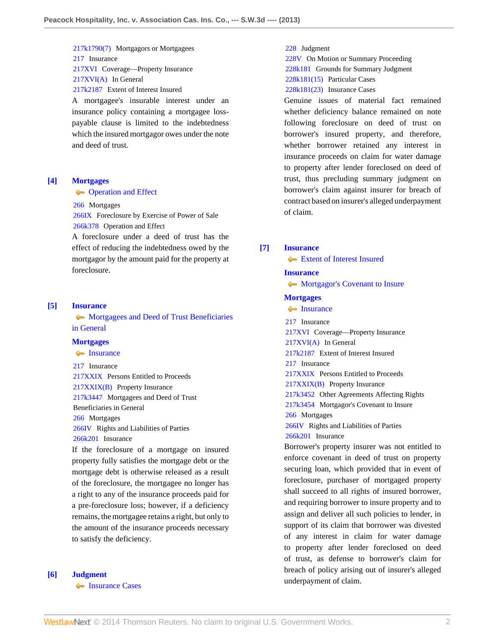[217k1790\(7\)](http://www.westlaw.com/Browse/Home/KeyNumber/217k1790(7)/View.html?docGuid=I24b2a87957f111e3b48bea39e86d4142&originationContext=document&vr=3.0&rs=cblt1.0&transitionType=DocumentItem&contextData=(sc.Search)) Mortgagors or Mortgagees

[217](http://www.westlaw.com/Browse/Home/KeyNumber/217/View.html?docGuid=I24b2a87957f111e3b48bea39e86d4142&originationContext=document&vr=3.0&rs=cblt1.0&transitionType=DocumentItem&contextData=(sc.Search)) Insurance

[217XVI](http://www.westlaw.com/Browse/Home/KeyNumber/217XVI/View.html?docGuid=I24b2a87957f111e3b48bea39e86d4142&originationContext=document&vr=3.0&rs=cblt1.0&transitionType=DocumentItem&contextData=(sc.Search)) Coverage––Property Insurance

[217XVI\(A\)](http://www.westlaw.com/Browse/Home/KeyNumber/217XVI(A)/View.html?docGuid=I24b2a87957f111e3b48bea39e86d4142&originationContext=document&vr=3.0&rs=cblt1.0&transitionType=DocumentItem&contextData=(sc.Search)) In General

[217k2187](http://www.westlaw.com/Browse/Home/KeyNumber/217k2187/View.html?docGuid=I24b2a87957f111e3b48bea39e86d4142&originationContext=document&vr=3.0&rs=cblt1.0&transitionType=DocumentItem&contextData=(sc.Search)) Extent of Interest Insured

A mortgagee's insurable interest under an insurance policy containing a mortgagee losspayable clause is limited to the indebtedness which the insured mortgagor owes under the note and deed of trust.

### <span id="page-1-2"></span>**[\[4\]](#page-4-2) [Mortgages](http://www.westlaw.com/Browse/Home/KeyNumber/266/View.html?docGuid=I24b2a87957f111e3b48bea39e86d4142&originationContext=document&vr=3.0&rs=cblt1.0&transitionType=DocumentItem&contextData=(sc.Search))**

#### **Conducter Conducter** [Operation and Effect](http://www.westlaw.com/Browse/Home/KeyNumber/266k378/View.html?docGuid=I24b2a87957f111e3b48bea39e86d4142&originationContext=document&vr=3.0&rs=cblt1.0&transitionType=DocumentItem&contextData=(sc.Search))

[266](http://www.westlaw.com/Browse/Home/KeyNumber/266/View.html?docGuid=I24b2a87957f111e3b48bea39e86d4142&originationContext=document&vr=3.0&rs=cblt1.0&transitionType=DocumentItem&contextData=(sc.Search)) Mortgages

[266IX](http://www.westlaw.com/Browse/Home/KeyNumber/266IX/View.html?docGuid=I24b2a87957f111e3b48bea39e86d4142&originationContext=document&vr=3.0&rs=cblt1.0&transitionType=DocumentItem&contextData=(sc.Search)) Foreclosure by Exercise of Power of Sale [266k378](http://www.westlaw.com/Browse/Home/KeyNumber/266k378/View.html?docGuid=I24b2a87957f111e3b48bea39e86d4142&originationContext=document&vr=3.0&rs=cblt1.0&transitionType=DocumentItem&contextData=(sc.Search)) Operation and Effect

A foreclosure under a deed of trust has the effect of reducing the indebtedness owed by the mortgagor by the amount paid for the property at foreclosure.

#### <span id="page-1-3"></span>**[\[5\]](#page-4-3) [Insurance](http://www.westlaw.com/Browse/Home/KeyNumber/217/View.html?docGuid=I24b2a87957f111e3b48bea39e86d4142&originationContext=document&vr=3.0&rs=cblt1.0&transitionType=DocumentItem&contextData=(sc.Search))**

**[Mortgagees and Deed of Trust Beneficiaries](http://www.westlaw.com/Browse/Home/KeyNumber/217k3447/View.html?docGuid=I24b2a87957f111e3b48bea39e86d4142&originationContext=document&vr=3.0&rs=cblt1.0&transitionType=DocumentItem&contextData=(sc.Search))** [in General](http://www.westlaw.com/Browse/Home/KeyNumber/217k3447/View.html?docGuid=I24b2a87957f111e3b48bea39e86d4142&originationContext=document&vr=3.0&rs=cblt1.0&transitionType=DocumentItem&contextData=(sc.Search))

#### **[Mortgages](http://www.westlaw.com/Browse/Home/KeyNumber/266/View.html?docGuid=I24b2a87957f111e3b48bea39e86d4142&originationContext=document&vr=3.0&rs=cblt1.0&transitionType=DocumentItem&contextData=(sc.Search))**

**[Insurance](http://www.westlaw.com/Browse/Home/KeyNumber/266k201/View.html?docGuid=I24b2a87957f111e3b48bea39e86d4142&originationContext=document&vr=3.0&rs=cblt1.0&transitionType=DocumentItem&contextData=(sc.Search))** 

[217](http://www.westlaw.com/Browse/Home/KeyNumber/217/View.html?docGuid=I24b2a87957f111e3b48bea39e86d4142&originationContext=document&vr=3.0&rs=cblt1.0&transitionType=DocumentItem&contextData=(sc.Search)) Insurance

[217XXIX](http://www.westlaw.com/Browse/Home/KeyNumber/217XXIX/View.html?docGuid=I24b2a87957f111e3b48bea39e86d4142&originationContext=document&vr=3.0&rs=cblt1.0&transitionType=DocumentItem&contextData=(sc.Search)) Persons Entitled to Proceeds [217XXIX\(B\)](http://www.westlaw.com/Browse/Home/KeyNumber/217XXIX(B)/View.html?docGuid=I24b2a87957f111e3b48bea39e86d4142&originationContext=document&vr=3.0&rs=cblt1.0&transitionType=DocumentItem&contextData=(sc.Search)) Property Insurance [217k3447](http://www.westlaw.com/Browse/Home/KeyNumber/217k3447/View.html?docGuid=I24b2a87957f111e3b48bea39e86d4142&originationContext=document&vr=3.0&rs=cblt1.0&transitionType=DocumentItem&contextData=(sc.Search)) Mortgagees and Deed of Trust Beneficiaries in General [266](http://www.westlaw.com/Browse/Home/KeyNumber/266/View.html?docGuid=I24b2a87957f111e3b48bea39e86d4142&originationContext=document&vr=3.0&rs=cblt1.0&transitionType=DocumentItem&contextData=(sc.Search)) Mortgages [266IV](http://www.westlaw.com/Browse/Home/KeyNumber/266IV/View.html?docGuid=I24b2a87957f111e3b48bea39e86d4142&originationContext=document&vr=3.0&rs=cblt1.0&transitionType=DocumentItem&contextData=(sc.Search)) Rights and Liabilities of Parties [266k201](http://www.westlaw.com/Browse/Home/KeyNumber/266k201/View.html?docGuid=I24b2a87957f111e3b48bea39e86d4142&originationContext=document&vr=3.0&rs=cblt1.0&transitionType=DocumentItem&contextData=(sc.Search)) Insurance If the foreclosure of a mortgage on insured

property fully satisfies the mortgage debt or the mortgage debt is otherwise released as a result of the foreclosure, the mortgagee no longer has a right to any of the insurance proceeds paid for a pre-foreclosure loss; however, if a deficiency remains, the mortgagee retains a right, but only to the amount of the insurance proceeds necessary to satisfy the deficiency.

#### <span id="page-1-0"></span>**[\[6\]](#page-4-4) [Judgment](http://www.westlaw.com/Browse/Home/KeyNumber/228/View.html?docGuid=I24b2a87957f111e3b48bea39e86d4142&originationContext=document&vr=3.0&rs=cblt1.0&transitionType=DocumentItem&contextData=(sc.Search))**

**[Insurance Cases](http://www.westlaw.com/Browse/Home/KeyNumber/228k181(23)/View.html?docGuid=I24b2a87957f111e3b48bea39e86d4142&originationContext=document&vr=3.0&rs=cblt1.0&transitionType=DocumentItem&contextData=(sc.Search))** 

### [228](http://www.westlaw.com/Browse/Home/KeyNumber/228/View.html?docGuid=I24b2a87957f111e3b48bea39e86d4142&originationContext=document&vr=3.0&rs=cblt1.0&transitionType=DocumentItem&contextData=(sc.Search)) Judgment

[228V](http://www.westlaw.com/Browse/Home/KeyNumber/228V/View.html?docGuid=I24b2a87957f111e3b48bea39e86d4142&originationContext=document&vr=3.0&rs=cblt1.0&transitionType=DocumentItem&contextData=(sc.Search)) On Motion or Summary Proceeding [228k181](http://www.westlaw.com/Browse/Home/KeyNumber/228k181/View.html?docGuid=I24b2a87957f111e3b48bea39e86d4142&originationContext=document&vr=3.0&rs=cblt1.0&transitionType=DocumentItem&contextData=(sc.Search)) Grounds for Summary Judgment

[228k181\(15\)](http://www.westlaw.com/Browse/Home/KeyNumber/228k181(15)/View.html?docGuid=I24b2a87957f111e3b48bea39e86d4142&originationContext=document&vr=3.0&rs=cblt1.0&transitionType=DocumentItem&contextData=(sc.Search)) Particular Cases [228k181\(23\)](http://www.westlaw.com/Browse/Home/KeyNumber/228k181(23)/View.html?docGuid=I24b2a87957f111e3b48bea39e86d4142&originationContext=document&vr=3.0&rs=cblt1.0&transitionType=DocumentItem&contextData=(sc.Search)) Insurance Cases

Genuine issues of material fact remained whether deficiency balance remained on note following foreclosure on deed of trust on borrower's insured property, and therefore, whether borrower retained any interest in insurance proceeds on claim for water damage to property after lender foreclosed on deed of trust, thus precluding summary judgment on borrower's claim against insurer for breach of contract based on insurer's alleged underpayment of claim.

### <span id="page-1-1"></span>**[\[7\]](#page-5-0) [Insurance](http://www.westlaw.com/Browse/Home/KeyNumber/217/View.html?docGuid=I24b2a87957f111e3b48bea39e86d4142&originationContext=document&vr=3.0&rs=cblt1.0&transitionType=DocumentItem&contextData=(sc.Search))**

[Extent of Interest Insured](http://www.westlaw.com/Browse/Home/KeyNumber/217k2187/View.html?docGuid=I24b2a87957f111e3b48bea39e86d4142&originationContext=document&vr=3.0&rs=cblt1.0&transitionType=DocumentItem&contextData=(sc.Search))

### **[Insurance](http://www.westlaw.com/Browse/Home/KeyNumber/217/View.html?docGuid=I24b2a87957f111e3b48bea39e86d4142&originationContext=document&vr=3.0&rs=cblt1.0&transitionType=DocumentItem&contextData=(sc.Search))**

• [Mortgagor's Covenant to Insure](http://www.westlaw.com/Browse/Home/KeyNumber/217k3454/View.html?docGuid=I24b2a87957f111e3b48bea39e86d4142&originationContext=document&vr=3.0&rs=cblt1.0&transitionType=DocumentItem&contextData=(sc.Search))

#### **[Mortgages](http://www.westlaw.com/Browse/Home/KeyNumber/266/View.html?docGuid=I24b2a87957f111e3b48bea39e86d4142&originationContext=document&vr=3.0&rs=cblt1.0&transitionType=DocumentItem&contextData=(sc.Search))**

**[Insurance](http://www.westlaw.com/Browse/Home/KeyNumber/266k201/View.html?docGuid=I24b2a87957f111e3b48bea39e86d4142&originationContext=document&vr=3.0&rs=cblt1.0&transitionType=DocumentItem&contextData=(sc.Search))** 

- [217](http://www.westlaw.com/Browse/Home/KeyNumber/217/View.html?docGuid=I24b2a87957f111e3b48bea39e86d4142&originationContext=document&vr=3.0&rs=cblt1.0&transitionType=DocumentItem&contextData=(sc.Search)) Insurance
- [217XVI](http://www.westlaw.com/Browse/Home/KeyNumber/217XVI/View.html?docGuid=I24b2a87957f111e3b48bea39e86d4142&originationContext=document&vr=3.0&rs=cblt1.0&transitionType=DocumentItem&contextData=(sc.Search)) Coverage––Property Insurance
- [217XVI\(A\)](http://www.westlaw.com/Browse/Home/KeyNumber/217XVI(A)/View.html?docGuid=I24b2a87957f111e3b48bea39e86d4142&originationContext=document&vr=3.0&rs=cblt1.0&transitionType=DocumentItem&contextData=(sc.Search)) In General

[217k2187](http://www.westlaw.com/Browse/Home/KeyNumber/217k2187/View.html?docGuid=I24b2a87957f111e3b48bea39e86d4142&originationContext=document&vr=3.0&rs=cblt1.0&transitionType=DocumentItem&contextData=(sc.Search)) Extent of Interest Insured

[217](http://www.westlaw.com/Browse/Home/KeyNumber/217/View.html?docGuid=I24b2a87957f111e3b48bea39e86d4142&originationContext=document&vr=3.0&rs=cblt1.0&transitionType=DocumentItem&contextData=(sc.Search)) Insurance

[217XXIX](http://www.westlaw.com/Browse/Home/KeyNumber/217XXIX/View.html?docGuid=I24b2a87957f111e3b48bea39e86d4142&originationContext=document&vr=3.0&rs=cblt1.0&transitionType=DocumentItem&contextData=(sc.Search)) Persons Entitled to Proceeds

[217XXIX\(B\)](http://www.westlaw.com/Browse/Home/KeyNumber/217XXIX(B)/View.html?docGuid=I24b2a87957f111e3b48bea39e86d4142&originationContext=document&vr=3.0&rs=cblt1.0&transitionType=DocumentItem&contextData=(sc.Search)) Property Insurance

[217k3452](http://www.westlaw.com/Browse/Home/KeyNumber/217k3452/View.html?docGuid=I24b2a87957f111e3b48bea39e86d4142&originationContext=document&vr=3.0&rs=cblt1.0&transitionType=DocumentItem&contextData=(sc.Search)) Other Agreements Affecting Rights

[217k3454](http://www.westlaw.com/Browse/Home/KeyNumber/217k3454/View.html?docGuid=I24b2a87957f111e3b48bea39e86d4142&originationContext=document&vr=3.0&rs=cblt1.0&transitionType=DocumentItem&contextData=(sc.Search)) Mortgagor's Covenant to Insure [266](http://www.westlaw.com/Browse/Home/KeyNumber/266/View.html?docGuid=I24b2a87957f111e3b48bea39e86d4142&originationContext=document&vr=3.0&rs=cblt1.0&transitionType=DocumentItem&contextData=(sc.Search)) Mortgages

[266IV](http://www.westlaw.com/Browse/Home/KeyNumber/266IV/View.html?docGuid=I24b2a87957f111e3b48bea39e86d4142&originationContext=document&vr=3.0&rs=cblt1.0&transitionType=DocumentItem&contextData=(sc.Search)) Rights and Liabilities of Parties

[266k201](http://www.westlaw.com/Browse/Home/KeyNumber/266k201/View.html?docGuid=I24b2a87957f111e3b48bea39e86d4142&originationContext=document&vr=3.0&rs=cblt1.0&transitionType=DocumentItem&contextData=(sc.Search)) Insurance

Borrower's property insurer was not entitled to enforce covenant in deed of trust on property securing loan, which provided that in event of foreclosure, purchaser of mortgaged property shall succeed to all rights of insured borrower, and requiring borrower to insure property and to assign and deliver all such policies to lender, in support of its claim that borrower was divested of any interest in claim for water damage to property after lender foreclosed on deed of trust, as defense to borrower's claim for breach of policy arising out of insurer's alleged underpayment of claim.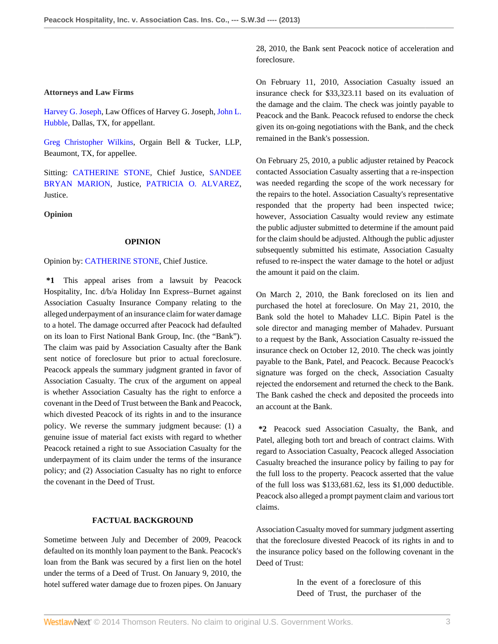## **Attorneys and Law Firms**

[Harvey G. Joseph,](http://www.westlaw.com/Link/Document/FullText?findType=h&pubNum=176284&cite=0211972701&originatingDoc=I24b2a87957f111e3b48bea39e86d4142&refType=RQ&originationContext=document&vr=3.0&rs=cblt1.0&transitionType=DocumentItem&contextData=(sc.Search)) Law Offices of Harvey G. Joseph, [John L.](http://www.westlaw.com/Link/Document/FullText?findType=h&pubNum=176284&cite=0278213301&originatingDoc=I24b2a87957f111e3b48bea39e86d4142&refType=RQ&originationContext=document&vr=3.0&rs=cblt1.0&transitionType=DocumentItem&contextData=(sc.Search)) [Hubble](http://www.westlaw.com/Link/Document/FullText?findType=h&pubNum=176284&cite=0278213301&originatingDoc=I24b2a87957f111e3b48bea39e86d4142&refType=RQ&originationContext=document&vr=3.0&rs=cblt1.0&transitionType=DocumentItem&contextData=(sc.Search)), Dallas, TX, for appellant.

[Greg Christopher Wilkins,](http://www.westlaw.com/Link/Document/FullText?findType=h&pubNum=176284&cite=0157521201&originatingDoc=I24b2a87957f111e3b48bea39e86d4142&refType=RQ&originationContext=document&vr=3.0&rs=cblt1.0&transitionType=DocumentItem&contextData=(sc.Search)) Orgain Bell & Tucker, LLP, Beaumont, TX, for appellee.

Sitting: [CATHERINE STONE,](http://www.westlaw.com/Link/Document/FullText?findType=h&pubNum=176284&cite=0224844201&originatingDoc=I24b2a87957f111e3b48bea39e86d4142&refType=RQ&originationContext=document&vr=3.0&rs=cblt1.0&transitionType=DocumentItem&contextData=(sc.Search)) Chief Justice, [SANDEE](http://www.westlaw.com/Link/Document/FullText?findType=h&pubNum=176284&cite=0331048701&originatingDoc=I24b2a87957f111e3b48bea39e86d4142&refType=RQ&originationContext=document&vr=3.0&rs=cblt1.0&transitionType=DocumentItem&contextData=(sc.Search)) [BRYAN MARION,](http://www.westlaw.com/Link/Document/FullText?findType=h&pubNum=176284&cite=0331048701&originatingDoc=I24b2a87957f111e3b48bea39e86d4142&refType=RQ&originationContext=document&vr=3.0&rs=cblt1.0&transitionType=DocumentItem&contextData=(sc.Search)) Justice, [PATRICIA O. ALVAREZ](http://www.westlaw.com/Link/Document/FullText?findType=h&pubNum=176284&cite=0115145202&originatingDoc=I24b2a87957f111e3b48bea39e86d4142&refType=RQ&originationContext=document&vr=3.0&rs=cblt1.0&transitionType=DocumentItem&contextData=(sc.Search)), Justice.

**Opinion**

#### **OPINION**

#### Opinion by: [CATHERINE STONE,](http://www.westlaw.com/Link/Document/FullText?findType=h&pubNum=176284&cite=0224844201&originatingDoc=I24b2a87957f111e3b48bea39e86d4142&refType=RQ&originationContext=document&vr=3.0&rs=cblt1.0&transitionType=DocumentItem&contextData=(sc.Search)) Chief Justice.

**\*1** This appeal arises from a lawsuit by Peacock Hospitality, Inc. d/b/a Holiday Inn Express–Burnet against Association Casualty Insurance Company relating to the alleged underpayment of an insurance claim for water damage to a hotel. The damage occurred after Peacock had defaulted on its loan to First National Bank Group, Inc. (the "Bank"). The claim was paid by Association Casualty after the Bank sent notice of foreclosure but prior to actual foreclosure. Peacock appeals the summary judgment granted in favor of Association Casualty. The crux of the argument on appeal is whether Association Casualty has the right to enforce a covenant in the Deed of Trust between the Bank and Peacock, which divested Peacock of its rights in and to the insurance policy. We reverse the summary judgment because: (1) a genuine issue of material fact exists with regard to whether Peacock retained a right to sue Association Casualty for the underpayment of its claim under the terms of the insurance policy; and (2) Association Casualty has no right to enforce the covenant in the Deed of Trust.

#### **FACTUAL BACKGROUND**

Sometime between July and December of 2009, Peacock defaulted on its monthly loan payment to the Bank. Peacock's loan from the Bank was secured by a first lien on the hotel under the terms of a Deed of Trust. On January 9, 2010, the hotel suffered water damage due to frozen pipes. On January 28, 2010, the Bank sent Peacock notice of acceleration and foreclosure.

On February 11, 2010, Association Casualty issued an insurance check for \$33,323.11 based on its evaluation of the damage and the claim. The check was jointly payable to Peacock and the Bank. Peacock refused to endorse the check given its on-going negotiations with the Bank, and the check remained in the Bank's possession.

On February 25, 2010, a public adjuster retained by Peacock contacted Association Casualty asserting that a re-inspection was needed regarding the scope of the work necessary for the repairs to the hotel. Association Casualty's representative responded that the property had been inspected twice; however, Association Casualty would review any estimate the public adjuster submitted to determine if the amount paid for the claim should be adjusted. Although the public adjuster subsequently submitted his estimate, Association Casualty refused to re-inspect the water damage to the hotel or adjust the amount it paid on the claim.

On March 2, 2010, the Bank foreclosed on its lien and purchased the hotel at foreclosure. On May 21, 2010, the Bank sold the hotel to Mahadev LLC. Bipin Patel is the sole director and managing member of Mahadev. Pursuant to a request by the Bank, Association Casualty re-issued the insurance check on October 12, 2010. The check was jointly payable to the Bank, Patel, and Peacock. Because Peacock's signature was forged on the check, Association Casualty rejected the endorsement and returned the check to the Bank. The Bank cashed the check and deposited the proceeds into an account at the Bank.

**\*2** Peacock sued Association Casualty, the Bank, and Patel, alleging both tort and breach of contract claims. With regard to Association Casualty, Peacock alleged Association Casualty breached the insurance policy by failing to pay for the full loss to the property. Peacock asserted that the value of the full loss was \$133,681.62, less its \$1,000 deductible. Peacock also alleged a prompt payment claim and various tort claims.

Association Casualty moved for summary judgment asserting that the foreclosure divested Peacock of its rights in and to the insurance policy based on the following covenant in the Deed of Trust:

> In the event of a foreclosure of this Deed of Trust, the purchaser of the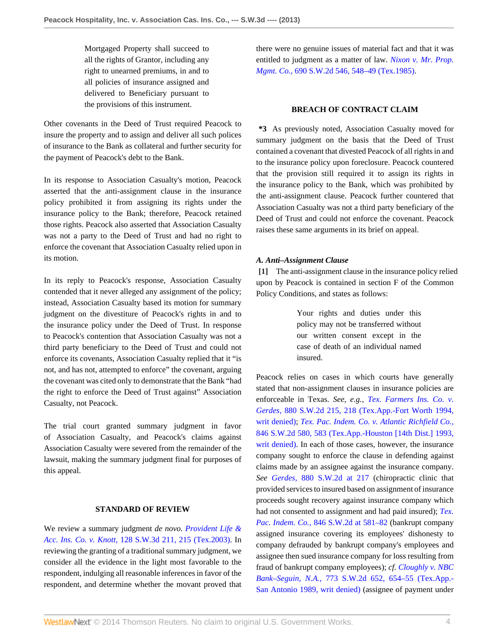Mortgaged Property shall succeed to all the rights of Grantor, including any right to unearned premiums, in and to all policies of insurance assigned and delivered to Beneficiary pursuant to the provisions of this instrument.

Other covenants in the Deed of Trust required Peacock to insure the property and to assign and deliver all such polices of insurance to the Bank as collateral and further security for the payment of Peacock's debt to the Bank.

In its response to Association Casualty's motion, Peacock asserted that the anti-assignment clause in the insurance policy prohibited it from assigning its rights under the insurance policy to the Bank; therefore, Peacock retained those rights. Peacock also asserted that Association Casualty was not a party to the Deed of Trust and had no right to enforce the covenant that Association Casualty relied upon in its motion.

In its reply to Peacock's response, Association Casualty contended that it never alleged any assignment of the policy; instead, Association Casualty based its motion for summary judgment on the divestiture of Peacock's rights in and to the insurance policy under the Deed of Trust. In response to Peacock's contention that Association Casualty was not a third party beneficiary to the Deed of Trust and could not enforce its covenants, Association Casualty replied that it "is not, and has not, attempted to enforce" the covenant, arguing the covenant was cited only to demonstrate that the Bank "had the right to enforce the Deed of Trust against" Association Casualty, not Peacock.

The trial court granted summary judgment in favor of Association Casualty, and Peacock's claims against Association Casualty were severed from the remainder of the lawsuit, making the summary judgment final for purposes of this appeal.

### **STANDARD OF REVIEW**

We review a summary judgment *de novo*. *[Provident Life &](http://www.westlaw.com/Link/Document/FullText?findType=Y&serNum=2003939419&pubNum=4644&originationContext=document&vr=3.0&rs=cblt1.0&transitionType=DocumentItem&contextData=(sc.Search)#co_pp_sp_4644_215) Acc. Ins. Co. v. Knott,* [128 S.W.3d 211, 215 \(Tex.2003\).](http://www.westlaw.com/Link/Document/FullText?findType=Y&serNum=2003939419&pubNum=4644&originationContext=document&vr=3.0&rs=cblt1.0&transitionType=DocumentItem&contextData=(sc.Search)#co_pp_sp_4644_215) In reviewing the granting of a traditional summary judgment, we consider all the evidence in the light most favorable to the respondent, indulging all reasonable inferences in favor of the respondent, and determine whether the movant proved that there were no genuine issues of material fact and that it was entitled to judgment as a matter of law. *[Nixon v. Mr. Prop.](http://www.westlaw.com/Link/Document/FullText?findType=Y&serNum=1985123468&pubNum=713&originationContext=document&vr=3.0&rs=cblt1.0&transitionType=DocumentItem&contextData=(sc.Search)#co_pp_sp_713_548) Mgmt. Co.,* [690 S.W.2d 546, 548–49 \(Tex.1985\).](http://www.westlaw.com/Link/Document/FullText?findType=Y&serNum=1985123468&pubNum=713&originationContext=document&vr=3.0&rs=cblt1.0&transitionType=DocumentItem&contextData=(sc.Search)#co_pp_sp_713_548)

### **BREACH OF CONTRACT CLAIM**

**\*3** As previously noted, Association Casualty moved for summary judgment on the basis that the Deed of Trust contained a covenant that divested Peacock of all rights in and to the insurance policy upon foreclosure. Peacock countered that the provision still required it to assign its rights in the insurance policy to the Bank, which was prohibited by the anti-assignment clause. Peacock further countered that Association Casualty was not a third party beneficiary of the Deed of Trust and could not enforce the covenant. Peacock raises these same arguments in its brief on appeal.

### *A. Anti–Assignment Clause*

<span id="page-3-0"></span>**[\[1\]](#page-0-0)** The anti-assignment clause in the insurance policy relied upon by Peacock is contained in section F of the Common Policy Conditions, and states as follows:

> Your rights and duties under this policy may not be transferred without our written consent except in the case of death of an individual named insured.

Peacock relies on cases in which courts have generally stated that non-assignment clauses in insurance policies are enforceable in Texas. *See, e.g., [Tex. Farmers Ins. Co. v.](http://www.westlaw.com/Link/Document/FullText?findType=Y&serNum=1994143030&pubNum=713&originationContext=document&vr=3.0&rs=cblt1.0&transitionType=DocumentItem&contextData=(sc.Search)#co_pp_sp_713_218) Gerdes,* [880 S.W.2d 215, 218 \(Tex.App.-Fort Worth 1994,](http://www.westlaw.com/Link/Document/FullText?findType=Y&serNum=1994143030&pubNum=713&originationContext=document&vr=3.0&rs=cblt1.0&transitionType=DocumentItem&contextData=(sc.Search)#co_pp_sp_713_218) [writ denied\);](http://www.westlaw.com/Link/Document/FullText?findType=Y&serNum=1994143030&pubNum=713&originationContext=document&vr=3.0&rs=cblt1.0&transitionType=DocumentItem&contextData=(sc.Search)#co_pp_sp_713_218) *[Tex. Pac. Indem. Co. v. Atlantic Richfield Co.,](http://www.westlaw.com/Link/Document/FullText?findType=Y&serNum=1993036125&pubNum=713&originationContext=document&vr=3.0&rs=cblt1.0&transitionType=DocumentItem&contextData=(sc.Search)#co_pp_sp_713_583)* [846 S.W.2d 580, 583 \(Tex.App.-Houston \[14th Dist.\] 1993,](http://www.westlaw.com/Link/Document/FullText?findType=Y&serNum=1993036125&pubNum=713&originationContext=document&vr=3.0&rs=cblt1.0&transitionType=DocumentItem&contextData=(sc.Search)#co_pp_sp_713_583) [writ denied\)](http://www.westlaw.com/Link/Document/FullText?findType=Y&serNum=1993036125&pubNum=713&originationContext=document&vr=3.0&rs=cblt1.0&transitionType=DocumentItem&contextData=(sc.Search)#co_pp_sp_713_583). In each of those cases, however, the insurance company sought to enforce the clause in defending against claims made by an assignee against the insurance company. *See Gerdes,* [880 S.W.2d at 217](http://www.westlaw.com/Link/Document/FullText?findType=Y&serNum=1994143030&pubNum=713&originationContext=document&vr=3.0&rs=cblt1.0&transitionType=DocumentItem&contextData=(sc.Search)#co_pp_sp_713_217) (chiropractic clinic that provided services to insured based on assignment of insurance proceeds sought recovery against insurance company which had not consented to assignment and had paid insured); *[Tex.](http://www.westlaw.com/Link/Document/FullText?findType=Y&serNum=1993036125&pubNum=713&originationContext=document&vr=3.0&rs=cblt1.0&transitionType=DocumentItem&contextData=(sc.Search)#co_pp_sp_713_581) Pac. Indem. Co.,* [846 S.W.2d at 581–82](http://www.westlaw.com/Link/Document/FullText?findType=Y&serNum=1993036125&pubNum=713&originationContext=document&vr=3.0&rs=cblt1.0&transitionType=DocumentItem&contextData=(sc.Search)#co_pp_sp_713_581) (bankrupt company assigned insurance covering its employees' dishonesty to company defrauded by bankrupt company's employees and assignee then sued insurance company for loss resulting from fraud of bankrupt company employees); *cf. [Cloughly v. NBC](http://www.westlaw.com/Link/Document/FullText?findType=Y&serNum=1989117728&pubNum=713&originationContext=document&vr=3.0&rs=cblt1.0&transitionType=DocumentItem&contextData=(sc.Search)#co_pp_sp_713_654) Bank–Seguin, N.A.,* [773 S.W.2d 652, 654–55 \(Tex.App.-](http://www.westlaw.com/Link/Document/FullText?findType=Y&serNum=1989117728&pubNum=713&originationContext=document&vr=3.0&rs=cblt1.0&transitionType=DocumentItem&contextData=(sc.Search)#co_pp_sp_713_654) [San Antonio 1989, writ denied\)](http://www.westlaw.com/Link/Document/FullText?findType=Y&serNum=1989117728&pubNum=713&originationContext=document&vr=3.0&rs=cblt1.0&transitionType=DocumentItem&contextData=(sc.Search)#co_pp_sp_713_654) (assignee of payment under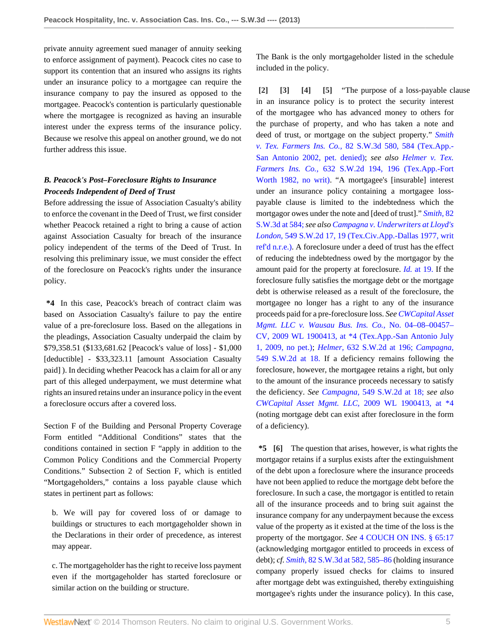private annuity agreement sued manager of annuity seeking to enforce assignment of payment). Peacock cites no case to support its contention that an insured who assigns its rights under an insurance policy to a mortgagee can require the insurance company to pay the insured as opposed to the mortgagee. Peacock's contention is particularly questionable where the mortgagee is recognized as having an insurable interest under the express terms of the insurance policy. Because we resolve this appeal on another ground, we do not further address this issue.

# *B. Peacock's Post–Foreclosure Rights to Insurance Proceeds Independent of Deed of Trust*

Before addressing the issue of Association Casualty's ability to enforce the covenant in the Deed of Trust, we first consider whether Peacock retained a right to bring a cause of action against Association Casualty for breach of the insurance policy independent of the terms of the Deed of Trust. In resolving this preliminary issue, we must consider the effect of the foreclosure on Peacock's rights under the insurance policy.

**\*4** In this case, Peacock's breach of contract claim was based on Association Casualty's failure to pay the entire value of a pre-foreclosure loss. Based on the allegations in the pleadings, Association Casualty underpaid the claim by \$79,358.51 (\$133,681.62 [Peacock's value of loss] - \$1,000 [deductible] - \$33,323.11 [amount Association Casualty paid] ). In deciding whether Peacock has a claim for all or any part of this alleged underpayment, we must determine what rights an insured retains under an insurance policy in the event a foreclosure occurs after a covered loss.

Section F of the Building and Personal Property Coverage Form entitled "Additional Conditions" states that the conditions contained in section F "apply in addition to the Common Policy Conditions and the Commercial Property Conditions." Subsection 2 of Section F, which is entitled "Mortgageholders," contains a loss payable clause which states in pertinent part as follows:

b. We will pay for covered loss of or damage to buildings or structures to each mortgageholder shown in the Declarations in their order of precedence, as interest may appear.

c. The mortgageholder has the right to receive loss payment even if the mortgageholder has started foreclosure or similar action on the building or structure.

The Bank is the only mortgageholder listed in the schedule included in the policy.

<span id="page-4-3"></span><span id="page-4-2"></span><span id="page-4-1"></span><span id="page-4-0"></span>**[\[2\]](#page-0-1) [\[3\]](#page-0-2) [\[4\]](#page-1-2) [\[5\]](#page-1-3)** "The purpose of a loss-payable clause in an insurance policy is to protect the security interest of the mortgagee who has advanced money to others for the purchase of property, and who has taken a note and deed of trust, or mortgage on the subject property." *[Smith](http://www.westlaw.com/Link/Document/FullText?findType=Y&serNum=2002321463&pubNum=4644&originationContext=document&vr=3.0&rs=cblt1.0&transitionType=DocumentItem&contextData=(sc.Search)#co_pp_sp_4644_584) v. Tex. Farmers Ins. Co.,* [82 S.W.3d 580, 584 \(Tex.App.-](http://www.westlaw.com/Link/Document/FullText?findType=Y&serNum=2002321463&pubNum=4644&originationContext=document&vr=3.0&rs=cblt1.0&transitionType=DocumentItem&contextData=(sc.Search)#co_pp_sp_4644_584) [San Antonio 2002, pet. denied\);](http://www.westlaw.com/Link/Document/FullText?findType=Y&serNum=2002321463&pubNum=4644&originationContext=document&vr=3.0&rs=cblt1.0&transitionType=DocumentItem&contextData=(sc.Search)#co_pp_sp_4644_584) *see also [Helmer v. Tex.](http://www.westlaw.com/Link/Document/FullText?findType=Y&serNum=1982121967&pubNum=713&originationContext=document&vr=3.0&rs=cblt1.0&transitionType=DocumentItem&contextData=(sc.Search)#co_pp_sp_713_196) Farmers Ins. Co.,* [632 S.W.2d 194, 196 \(Tex.App.-Fort](http://www.westlaw.com/Link/Document/FullText?findType=Y&serNum=1982121967&pubNum=713&originationContext=document&vr=3.0&rs=cblt1.0&transitionType=DocumentItem&contextData=(sc.Search)#co_pp_sp_713_196) [Worth 1982, no writ\).](http://www.westlaw.com/Link/Document/FullText?findType=Y&serNum=1982121967&pubNum=713&originationContext=document&vr=3.0&rs=cblt1.0&transitionType=DocumentItem&contextData=(sc.Search)#co_pp_sp_713_196) "A mortgagee's [insurable] interest under an insurance policy containing a mortgagee losspayable clause is limited to the indebtedness which the mortgagor owes under the note and [deed of trust]." *[Smith,](http://www.westlaw.com/Link/Document/FullText?findType=Y&serNum=2002321463&pubNum=4644&originationContext=document&vr=3.0&rs=cblt1.0&transitionType=DocumentItem&contextData=(sc.Search)#co_pp_sp_4644_584)* 82 [S.W.3d at 584;](http://www.westlaw.com/Link/Document/FullText?findType=Y&serNum=2002321463&pubNum=4644&originationContext=document&vr=3.0&rs=cblt1.0&transitionType=DocumentItem&contextData=(sc.Search)#co_pp_sp_4644_584)*see also [Campagna v. Underwriters at Lloyd's](http://www.westlaw.com/Link/Document/FullText?findType=Y&serNum=1977115477&pubNum=713&originationContext=document&vr=3.0&rs=cblt1.0&transitionType=DocumentItem&contextData=(sc.Search)#co_pp_sp_713_19) London,* [549 S.W.2d 17, 19 \(Tex.Civ.App.-Dallas 1977, writ](http://www.westlaw.com/Link/Document/FullText?findType=Y&serNum=1977115477&pubNum=713&originationContext=document&vr=3.0&rs=cblt1.0&transitionType=DocumentItem&contextData=(sc.Search)#co_pp_sp_713_19) [ref'd n.r.e.\).](http://www.westlaw.com/Link/Document/FullText?findType=Y&serNum=1977115477&pubNum=713&originationContext=document&vr=3.0&rs=cblt1.0&transitionType=DocumentItem&contextData=(sc.Search)#co_pp_sp_713_19) A foreclosure under a deed of trust has the effect of reducing the indebtedness owed by the mortgagor by the amount paid for the property at foreclosure. *Id.* [at 19.](http://www.westlaw.com/Link/Document/FullText?findType=Y&serNum=1977115477&originationContext=document&vr=3.0&rs=cblt1.0&transitionType=DocumentItem&contextData=(sc.Search)) If the foreclosure fully satisfies the mortgage debt or the mortgage debt is otherwise released as a result of the foreclosure, the mortgagee no longer has a right to any of the insurance proceeds paid for a pre-foreclosure loss. *See [CWCapital Asset](http://www.westlaw.com/Link/Document/FullText?findType=Y&serNum=2019283699&pubNum=0000999&originationContext=document&vr=3.0&rs=cblt1.0&transitionType=DocumentItem&contextData=(sc.Search)) [Mgmt. LLC v. Wausau Bus. Ins. Co.,](http://www.westlaw.com/Link/Document/FullText?findType=Y&serNum=2019283699&pubNum=0000999&originationContext=document&vr=3.0&rs=cblt1.0&transitionType=DocumentItem&contextData=(sc.Search))* No. 04–08–00457– [CV, 2009 WL 1900413, at \\*4 \(Tex.App.-San Antonio July](http://www.westlaw.com/Link/Document/FullText?findType=Y&serNum=2019283699&pubNum=0000999&originationContext=document&vr=3.0&rs=cblt1.0&transitionType=DocumentItem&contextData=(sc.Search)) [1, 2009, no pet.\)](http://www.westlaw.com/Link/Document/FullText?findType=Y&serNum=2019283699&pubNum=0000999&originationContext=document&vr=3.0&rs=cblt1.0&transitionType=DocumentItem&contextData=(sc.Search)); *Helmer,* [632 S.W.2d at 196;](http://www.westlaw.com/Link/Document/FullText?findType=Y&serNum=1982121967&pubNum=713&originationContext=document&vr=3.0&rs=cblt1.0&transitionType=DocumentItem&contextData=(sc.Search)#co_pp_sp_713_196) *[Campagna,](http://www.westlaw.com/Link/Document/FullText?findType=Y&serNum=1977115477&pubNum=713&originationContext=document&vr=3.0&rs=cblt1.0&transitionType=DocumentItem&contextData=(sc.Search)#co_pp_sp_713_18)* [549 S.W.2d at 18.](http://www.westlaw.com/Link/Document/FullText?findType=Y&serNum=1977115477&pubNum=713&originationContext=document&vr=3.0&rs=cblt1.0&transitionType=DocumentItem&contextData=(sc.Search)#co_pp_sp_713_18) If a deficiency remains following the foreclosure, however, the mortgagee retains a right, but only to the amount of the insurance proceeds necessary to satisfy the deficiency. *See Campagna,* [549 S.W.2d at 18;](http://www.westlaw.com/Link/Document/FullText?findType=Y&serNum=1977115477&pubNum=713&originationContext=document&vr=3.0&rs=cblt1.0&transitionType=DocumentItem&contextData=(sc.Search)#co_pp_sp_713_18) *see also [CWCapital Asset Mgmt. LLC,](http://www.westlaw.com/Link/Document/FullText?findType=Y&serNum=2019283699&pubNum=999&originationContext=document&vr=3.0&rs=cblt1.0&transitionType=DocumentItem&contextData=(sc.Search))* 2009 WL 1900413, at \*4 (noting mortgage debt can exist after foreclosure in the form of a deficiency).

<span id="page-4-4"></span>**\*5 [\[6\]](#page-1-0)** The question that arises, however, is what rights the mortgagor retains if a surplus exists after the extinguishment of the debt upon a foreclosure where the insurance proceeds have not been applied to reduce the mortgage debt before the foreclosure. In such a case, the mortgagor is entitled to retain all of the insurance proceeds and to bring suit against the insurance company for any underpayment because the excess value of the property as it existed at the time of the loss is the property of the mortgagor. *See* [4 COUCH ON INS. § 65:17](http://www.westlaw.com/Link/Document/FullText?findType=Y&serNum=0299582304&pubNum=0111947&originationContext=document&vr=3.0&rs=cblt1.0&transitionType=DocumentItem&contextData=(sc.Search)) (acknowledging mortgagor entitled to proceeds in excess of debt); *cf. Smith,* [82 S.W.3d at 582, 585–86](http://www.westlaw.com/Link/Document/FullText?findType=Y&serNum=2002321463&pubNum=4644&originationContext=document&vr=3.0&rs=cblt1.0&transitionType=DocumentItem&contextData=(sc.Search)#co_pp_sp_4644_582) (holding insurance company properly issued checks for claims to insured after mortgage debt was extinguished, thereby extinguishing mortgagee's rights under the insurance policy). In this case,